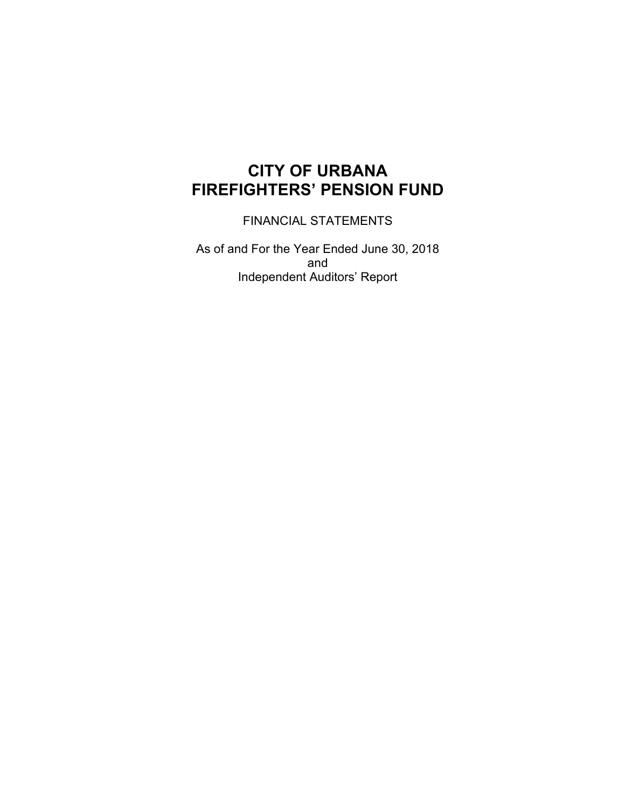FINANCIAL STATEMENTS

As of and For the Year Ended June 30, 2018 and Independent Auditors' Report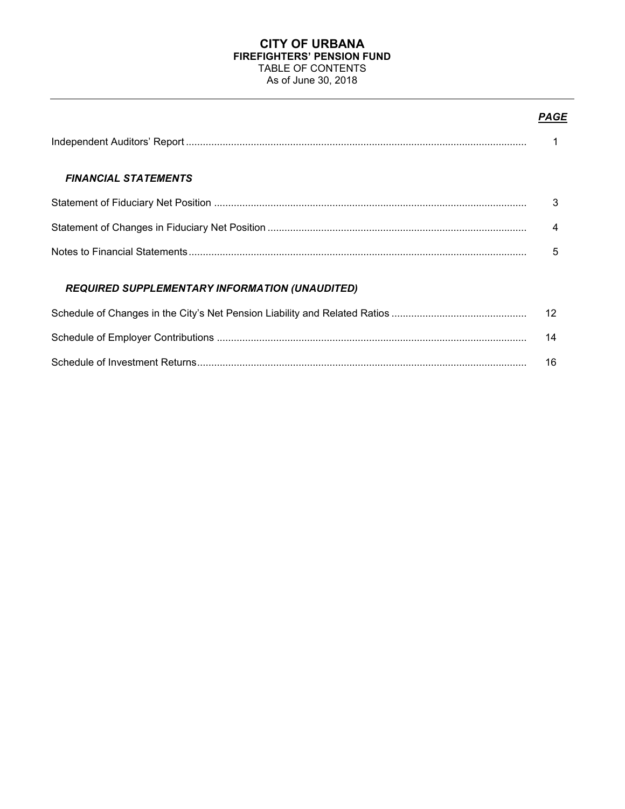#### **CITY OF URBANA FIREFIGHTERS' PENSION FUND** TABLE OF CONTENTS As of June 30, 2018

# *PAGE*

| <b>FINANCIAL STATEMENTS</b>                           |    |
|-------------------------------------------------------|----|
|                                                       | 3  |
|                                                       | 4  |
|                                                       | 5  |
| <b>REQUIRED SUPPLEMENTARY INFORMATION (UNAUDITED)</b> |    |
|                                                       | 12 |
|                                                       | 14 |
|                                                       | 16 |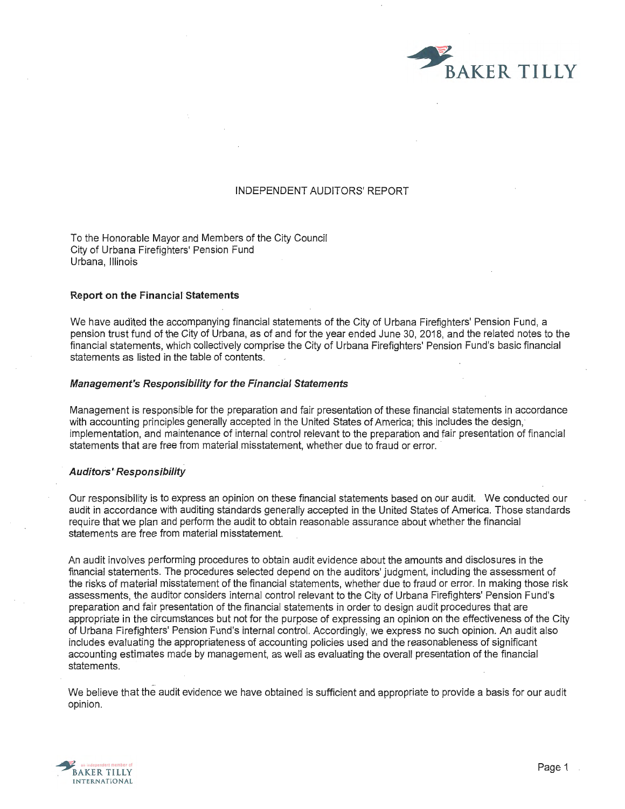

#### INDEPENDENT AUDITORS' REPORT

To the Honorable Mayor and Members of the City Council City of Urbana Firefighters' Pension Fund Urbana, Illinois

#### **Report on the Financial Statements**

We have audited the accompanying financial statements of the City of Urbana Firefighters' Pension Fund, a pension trust fund of the City of Urbana, as of and for the year ended June 30, 2018, and the related notes to the financial statements, which collectively comprise the City of Urbana Firefighters' Pension Fund's basic financial statements as listed in the table of contents.

#### **Management's Responsibility for the Financial Statements**

Management is responsible for the preparation and fair presentation of these financial statements in accordance with accounting principles generally accepted in the United States of America; this includes the design, implementation, and maintenance of internal control relevant to the preparation and fair presentation of financial statements that are free from material misstatement, whether due to fraud or error.

#### **Auditors'·Responsibility**

Our responsibility is to express an opinion on these financial statements based on our audit. We conducted our audit in accordance with auditing standards generally accepted in the United States of America. Those standards require that we plan and perform the audit to obtain reasonable assurance about whether the financial statements are free from material misstatement.

An audit involves performing procedures to obtain audit evidence about the amounts and disclosures in the financial statements. The procedures selected depend on the auditors' judgment, including the assessment of the risks of material misstatement of the financial statements, whether due to fraud or error. In making those risk assessments, the auditor considers internal control relevant to the City of Urbana Firefighters' Pension Fund's preparation and fair presentation of the financial statements in order to design audit procedures that are appropriate in the circumstances but not for the purpose of expressing an opinion on the effectiveness of the City of Urbana Firefighters' Pension Fund's internal control. Accordingly, we express no such opinion. An audit also includes evaluating the appropriateness of accounting policies used and the reasonableness of significant accounting estimates made by management, as well as evaluating the overall presentation of the financial statements.

We believe that the audit evidence we have obtained is sufficient and appropriate to provide a basis for our audit opinion.

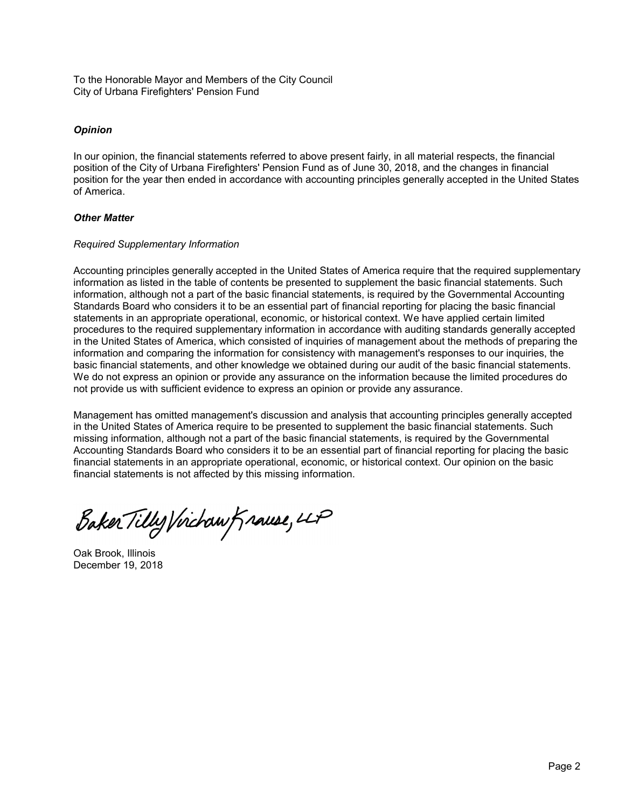To the Honorable Mayor and Members of the City Council City of Urbana Firefighters' Pension Fund

### *Opinion*

In our opinion, the financial statements referred to above present fairly, in all material respects, the financial position of the City of Urbana Firefighters' Pension Fund as of June 30, 2018, and the changes in financial position for the year then ended in accordance with accounting principles generally accepted in the United States of America.

### *Other Matter*

### *Required Supplementary Information*

Accounting principles generally accepted in the United States of America require that the required supplementary information as listed in the table of contents be presented to supplement the basic financial statements. Such information, although not a part of the basic financial statements, is required by the Governmental Accounting Standards Board who considers it to be an essential part of financial reporting for placing the basic financial statements in an appropriate operational, economic, or historical context. We have applied certain limited procedures to the required supplementary information in accordance with auditing standards generally accepted in the United States of America, which consisted of inquiries of management about the methods of preparing the information and comparing the information for consistency with management's responses to our inquiries, the basic financial statements, and other knowledge we obtained during our audit of the basic financial statements. We do not express an opinion or provide any assurance on the information because the limited procedures do not provide us with sufficient evidence to express an opinion or provide any assurance.

Management has omitted management's discussion and analysis that accounting principles generally accepted in the United States of America require to be presented to supplement the basic financial statements. Such missing information, although not a part of the basic financial statements, is required by the Governmental Accounting Standards Board who considers it to be an essential part of financial reporting for placing the basic financial statements in an appropriate operational, economic, or historical context. Our opinion on the basic financial statements is not affected by this missing information.

Baker Tilly Virchaw Krause, LLP

Oak Brook, Illinois December 19, 2018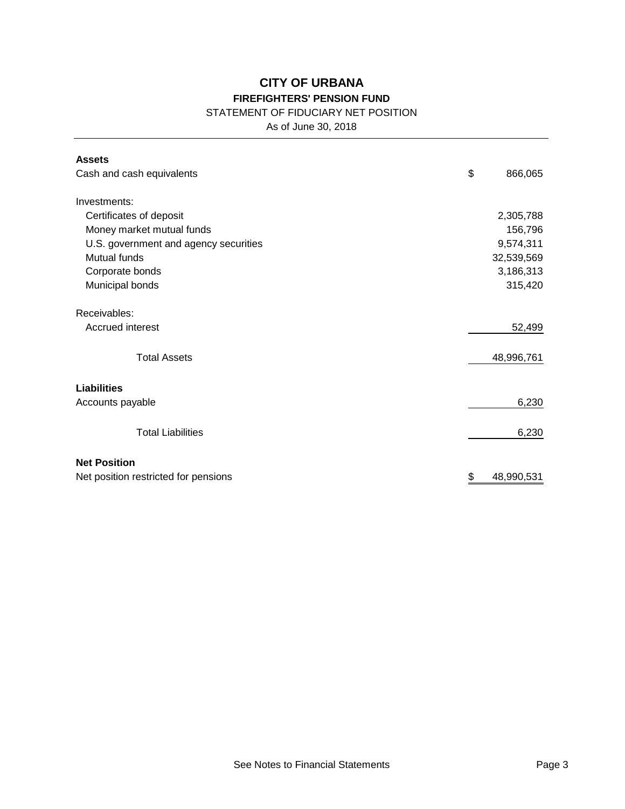# STATEMENT OF FIDUCIARY NET POSITION

As of June 30, 2018

| <b>Assets</b>                         |                  |
|---------------------------------------|------------------|
| Cash and cash equivalents             | \$<br>866,065    |
| Investments:                          |                  |
|                                       |                  |
| Certificates of deposit               | 2,305,788        |
| Money market mutual funds             | 156,796          |
| U.S. government and agency securities | 9,574,311        |
| Mutual funds                          | 32,539,569       |
| Corporate bonds                       | 3,186,313        |
| Municipal bonds                       | 315,420          |
|                                       |                  |
| Receivables:                          |                  |
| Accrued interest                      | 52,499           |
|                                       |                  |
| <b>Total Assets</b>                   | 48,996,761       |
|                                       |                  |
| <b>Liabilities</b>                    |                  |
| Accounts payable                      | 6,230            |
|                                       |                  |
|                                       |                  |
| <b>Total Liabilities</b>              | 6,230            |
|                                       |                  |
| <b>Net Position</b>                   |                  |
| Net position restricted for pensions  | \$<br>48,990,531 |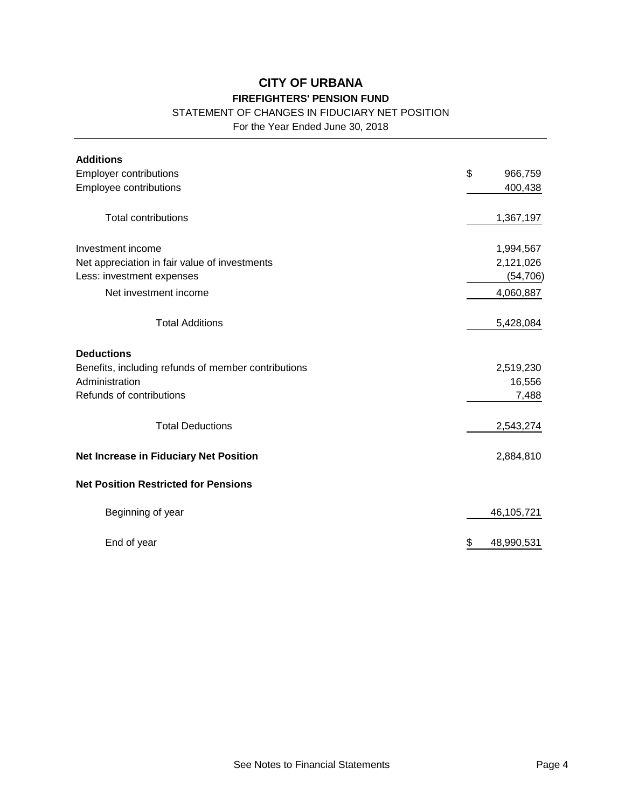# STATEMENT OF CHANGES IN FIDUCIARY NET POSITION

For the Year Ended June 30, 2018

| <b>Additions</b>                                    |                  |
|-----------------------------------------------------|------------------|
| <b>Employer contributions</b>                       | \$<br>966,759    |
| Employee contributions                              | 400,438          |
|                                                     |                  |
| <b>Total contributions</b>                          | 1,367,197        |
| Investment income                                   | 1,994,567        |
| Net appreciation in fair value of investments       | 2,121,026        |
| Less: investment expenses                           | (54, 706)        |
| Net investment income                               | 4,060,887        |
| <b>Total Additions</b>                              | 5,428,084        |
|                                                     |                  |
| <b>Deductions</b>                                   |                  |
| Benefits, including refunds of member contributions | 2,519,230        |
| Administration                                      | 16,556           |
| Refunds of contributions                            | 7,488            |
| <b>Total Deductions</b>                             | 2,543,274        |
| Net Increase in Fiduciary Net Position              | 2,884,810        |
| <b>Net Position Restricted for Pensions</b>         |                  |
| Beginning of year                                   | 46,105,721       |
| End of year                                         | \$<br>48,990,531 |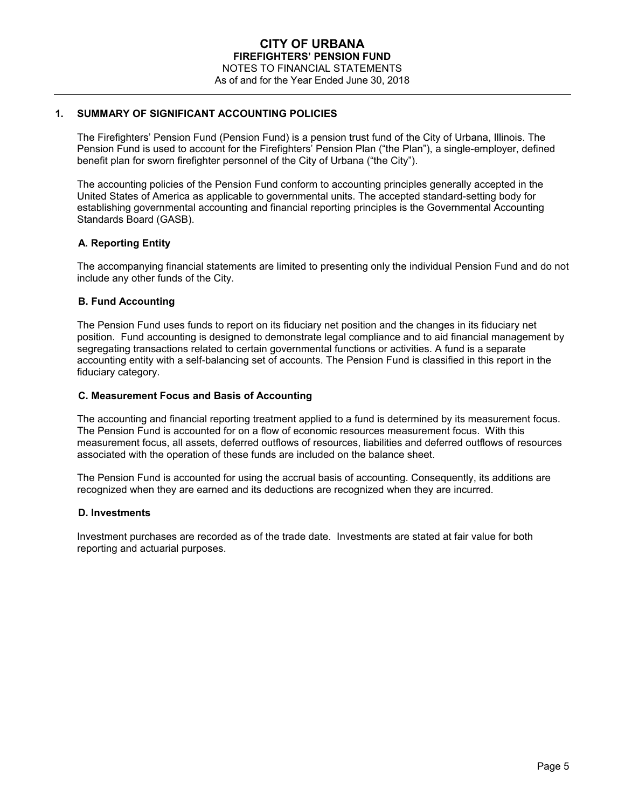#### **1. SUMMARY OF SIGNIFICANT ACCOUNTING POLICIES**

The Firefighters' Pension Fund (Pension Fund) is a pension trust fund of the City of Urbana, Illinois. The Pension Fund is used to account for the Firefighters' Pension Plan ("the Plan"), a single-employer, defined benefit plan for sworn firefighter personnel of the City of Urbana ("the City").

The accounting policies of the Pension Fund conform to accounting principles generally accepted in the United States of America as applicable to governmental units. The accepted standard-setting body for establishing governmental accounting and financial reporting principles is the Governmental Accounting Standards Board (GASB).

### **A. Reporting Entity**

The accompanying financial statements are limited to presenting only the individual Pension Fund and do not include any other funds of the City.

#### **B. Fund Accounting**

The Pension Fund uses funds to report on its fiduciary net position and the changes in its fiduciary net position. Fund accounting is designed to demonstrate legal compliance and to aid financial management by segregating transactions related to certain governmental functions or activities. A fund is a separate accounting entity with a self-balancing set of accounts. The Pension Fund is classified in this report in the fiduciary category.

#### **C. Measurement Focus and Basis of Accounting**

The accounting and financial reporting treatment applied to a fund is determined by its measurement focus. The Pension Fund is accounted for on a flow of economic resources measurement focus. With this measurement focus, all assets, deferred outflows of resources, liabilities and deferred outflows of resources associated with the operation of these funds are included on the balance sheet.

The Pension Fund is accounted for using the accrual basis of accounting. Consequently, its additions are recognized when they are earned and its deductions are recognized when they are incurred.

#### **D. Investments**

Investment purchases are recorded as of the trade date. Investments are stated at fair value for both reporting and actuarial purposes.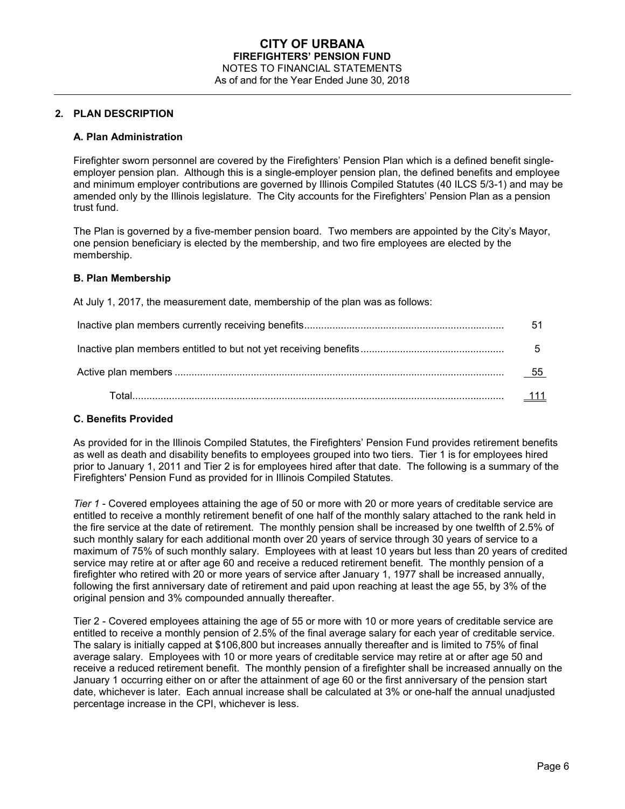#### **2. PLAN DESCRIPTION**

#### **A. Plan Administration**

Firefighter sworn personnel are covered by the Firefighters' Pension Plan which is a defined benefit singleemployer pension plan. Although this is a single-employer pension plan, the defined benefits and employee and minimum employer contributions are governed by Illinois Compiled Statutes (40 ILCS 5/3-1) and may be amended only by the Illinois legislature. The City accounts for the Firefighters' Pension Plan as a pension trust fund.

The Plan is governed by a five-member pension board. Two members are appointed by the City's Mayor, one pension beneficiary is elected by the membership, and two fire employees are elected by the membership.

#### **B. Plan Membership**

At July 1, 2017, the measurement date, membership of the plan was as follows:

| 51  |
|-----|
| .5  |
| 55  |
| 111 |

#### **C. Benefits Provided**

As provided for in the Illinois Compiled Statutes, the Firefighters' Pension Fund provides retirement benefits as well as death and disability benefits to employees grouped into two tiers. Tier 1 is for employees hired prior to January 1, 2011 and Tier 2 is for employees hired after that date. The following is a summary of the Firefighters' Pension Fund as provided for in Illinois Compiled Statutes.

*Tier 1* - Covered employees attaining the age of 50 or more with 20 or more years of creditable service are entitled to receive a monthly retirement benefit of one half of the monthly salary attached to the rank held in the fire service at the date of retirement. The monthly pension shall be increased by one twelfth of 2.5% of such monthly salary for each additional month over 20 years of service through 30 years of service to a maximum of 75% of such monthly salary. Employees with at least 10 years but less than 20 years of credited service may retire at or after age 60 and receive a reduced retirement benefit. The monthly pension of a firefighter who retired with 20 or more years of service after January 1, 1977 shall be increased annually, following the first anniversary date of retirement and paid upon reaching at least the age 55, by 3% of the original pension and 3% compounded annually thereafter.

Tier 2 - Covered employees attaining the age of 55 or more with 10 or more years of creditable service are entitled to receive a monthly pension of 2.5% of the final average salary for each year of creditable service. The salary is initially capped at \$106,800 but increases annually thereafter and is limited to 75% of final average salary. Employees with 10 or more years of creditable service may retire at or after age 50 and receive a reduced retirement benefit. The monthly pension of a firefighter shall be increased annually on the January 1 occurring either on or after the attainment of age 60 or the first anniversary of the pension start date, whichever is later. Each annual increase shall be calculated at 3% or one-half the annual unadjusted percentage increase in the CPI, whichever is less.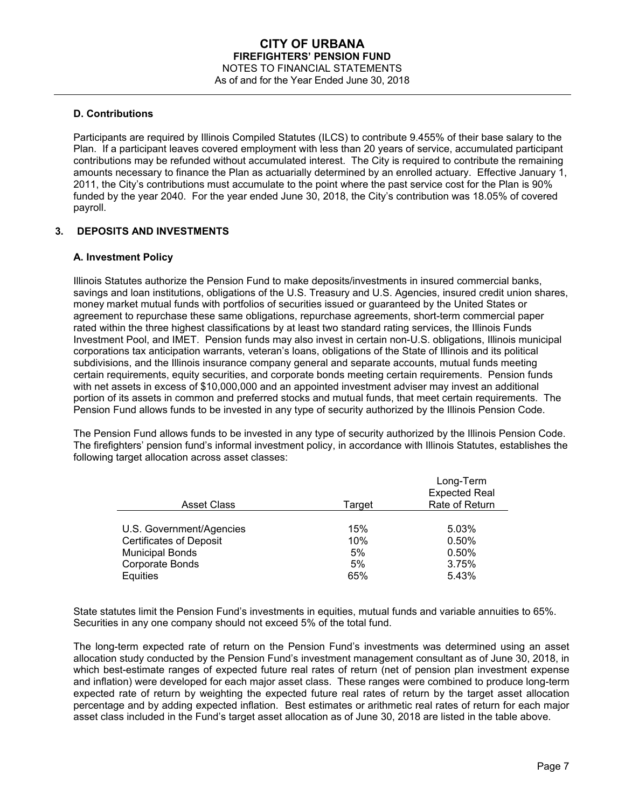#### **D. Contributions**

Participants are required by Illinois Compiled Statutes (ILCS) to contribute 9.455% of their base salary to the Plan. If a participant leaves covered employment with less than 20 years of service, accumulated participant contributions may be refunded without accumulated interest. The City is required to contribute the remaining amounts necessary to finance the Plan as actuarially determined by an enrolled actuary. Effective January 1, 2011, the City's contributions must accumulate to the point where the past service cost for the Plan is 90% funded by the year 2040. For the year ended June 30, 2018, the City's contribution was 18.05% of covered payroll.

### **3. DEPOSITS AND INVESTMENTS**

#### **A. Investment Policy**

Illinois Statutes authorize the Pension Fund to make deposits/investments in insured commercial banks, savings and loan institutions, obligations of the U.S. Treasury and U.S. Agencies, insured credit union shares, money market mutual funds with portfolios of securities issued or guaranteed by the United States or agreement to repurchase these same obligations, repurchase agreements, short-term commercial paper rated within the three highest classifications by at least two standard rating services, the Illinois Funds Investment Pool, and IMET. Pension funds may also invest in certain non-U.S. obligations, Illinois municipal corporations tax anticipation warrants, veteran's loans, obligations of the State of Illinois and its political subdivisions, and the Illinois insurance company general and separate accounts, mutual funds meeting certain requirements, equity securities, and corporate bonds meeting certain requirements. Pension funds with net assets in excess of \$10,000,000 and an appointed investment adviser may invest an additional portion of its assets in common and preferred stocks and mutual funds, that meet certain requirements. The Pension Fund allows funds to be invested in any type of security authorized by the Illinois Pension Code.

The Pension Fund allows funds to be invested in any type of security authorized by the Illinois Pension Code. The firefighters' pension fund's informal investment policy, in accordance with Illinois Statutes, establishes the following target allocation across asset classes:

| <b>Asset Class</b>             | Target | Long-Term<br><b>Expected Real</b><br>Rate of Return |
|--------------------------------|--------|-----------------------------------------------------|
|                                |        |                                                     |
| U.S. Government/Agencies       | 15%    | 5.03%                                               |
| <b>Certificates of Deposit</b> | 10%    | 0.50%                                               |
| <b>Municipal Bonds</b>         | 5%     | 0.50%                                               |
| Corporate Bonds                | 5%     | 3.75%                                               |
| Equities                       | 65%    | 5.43%                                               |

State statutes limit the Pension Fund's investments in equities, mutual funds and variable annuities to 65%. Securities in any one company should not exceed 5% of the total fund.

The long-term expected rate of return on the Pension Fund's investments was determined using an asset allocation study conducted by the Pension Fund's investment management consultant as of June 30, 2018, in which best-estimate ranges of expected future real rates of return (net of pension plan investment expense and inflation) were developed for each major asset class. These ranges were combined to produce long-term expected rate of return by weighting the expected future real rates of return by the target asset allocation percentage and by adding expected inflation. Best estimates or arithmetic real rates of return for each major asset class included in the Fund's target asset allocation as of June 30, 2018 are listed in the table above.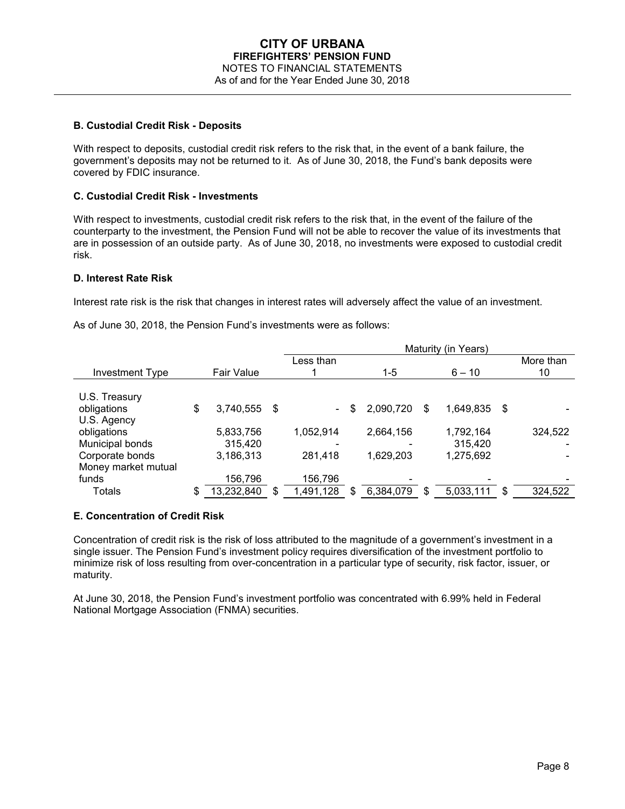#### **B. Custodial Credit Risk - Deposits**

With respect to deposits, custodial credit risk refers to the risk that, in the event of a bank failure, the government's deposits may not be returned to it. As of June 30, 2018, the Fund's bank deposits were covered by FDIC insurance.

#### **C. Custodial Credit Risk - Investments**

With respect to investments, custodial credit risk refers to the risk that, in the event of the failure of the counterparty to the investment, the Pension Fund will not be able to recover the value of its investments that are in possession of an outside party. As of June 30, 2018, no investments were exposed to custodial credit risk.

#### **D. Interest Rate Risk**

Interest rate risk is the risk that changes in interest rates will adversely affect the value of an investment.

As of June 30, 2018, the Pension Fund's investments were as follows:

|                     |                    | Maturity (in Years) |   |           |    |              |    |           |
|---------------------|--------------------|---------------------|---|-----------|----|--------------|----|-----------|
|                     |                    | Less than           |   |           |    |              |    | More than |
| Investment Type     | <b>Fair Value</b>  |                     |   | $1 - 5$   |    | $6 - 10$     |    | 10        |
|                     |                    |                     |   |           |    |              |    |           |
| U.S. Treasury       |                    |                     |   |           |    |              |    |           |
| obligations         | \$<br>3,740,555 \$ | $\sim$              | S | 2,090,720 | \$ | 1,649,835 \$ |    |           |
| U.S. Agency         |                    |                     |   |           |    |              |    |           |
| obligations         | 5,833,756          | 1,052,914           |   | 2,664,156 |    | 1,792,164    |    | 324,522   |
| Municipal bonds     | 315,420            |                     |   |           |    | 315,420      |    |           |
| Corporate bonds     | 3,186,313          | 281,418             |   | 1,629,203 |    | 1,275,692    |    |           |
| Money market mutual |                    |                     |   |           |    |              |    |           |
| funds               | 156,796            | 156,796             |   |           |    |              |    |           |
| <b>Totals</b>       | \$<br>13,232,840   | \$<br>1,491,128     | S | 6,384,079 | \$ | 5,033,111    | \$ | 324,522   |

#### **E. Concentration of Credit Risk**

Concentration of credit risk is the risk of loss attributed to the magnitude of a government's investment in a single issuer. The Pension Fund's investment policy requires diversification of the investment portfolio to minimize risk of loss resulting from over-concentration in a particular type of security, risk factor, issuer, or maturity.

At June 30, 2018, the Pension Fund's investment portfolio was concentrated with 6.99% held in Federal National Mortgage Association (FNMA) securities.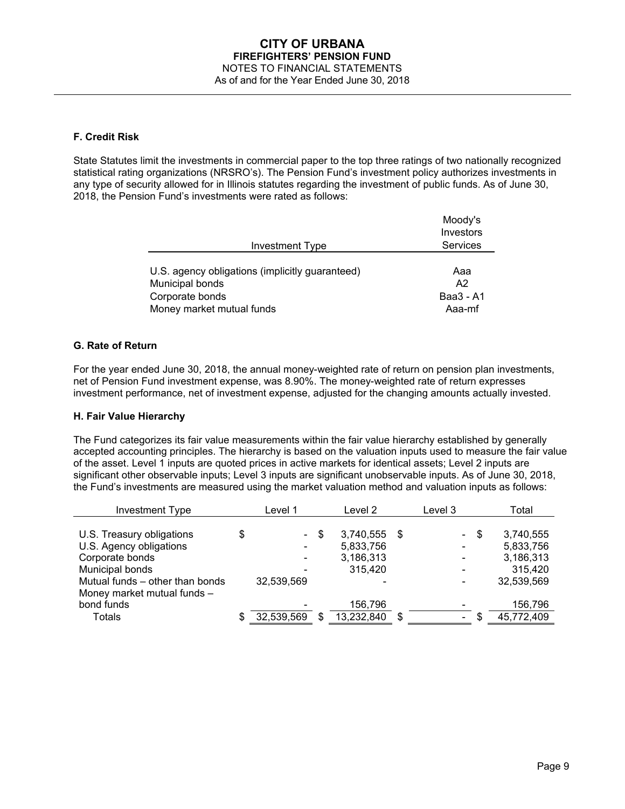## **F. Credit Risk**

State Statutes limit the investments in commercial paper to the top three ratings of two nationally recognized statistical rating organizations (NRSRO's). The Pension Fund's investment policy authorizes investments in any type of security allowed for in Illinois statutes regarding the investment of public funds. As of June 30, 2018, the Pension Fund's investments were rated as follows:

|                                                 | Moody's         |
|-------------------------------------------------|-----------------|
|                                                 | Investors       |
| <b>Investment Type</b>                          | <b>Services</b> |
|                                                 |                 |
| U.S. agency obligations (implicitly guaranteed) | Aaa             |
| Municipal bonds                                 | A2              |
| Corporate bonds                                 | Baa3 - A1       |
| Money market mutual funds                       | Aaa-mf          |

### **G. Rate of Return**

For the year ended June 30, 2018, the annual money-weighted rate of return on pension plan investments, net of Pension Fund investment expense, was 8.90%. The money-weighted rate of return expresses investment performance, net of investment expense, adjusted for the changing amounts actually invested.

### **H. Fair Value Hierarchy**

The Fund categorizes its fair value measurements within the fair value hierarchy established by generally accepted accounting principles. The hierarchy is based on the valuation inputs used to measure the fair value of the asset. Level 1 inputs are quoted prices in active markets for identical assets; Level 2 inputs are significant other observable inputs; Level 3 inputs are significant unobservable inputs. As of June 30, 2018, the Fund's investments are measured using the market valuation method and valuation inputs as follows:

| Investment Type                 | Level 1 |            | Level 2 |            | Level 3 |                          | Total |            |
|---------------------------------|---------|------------|---------|------------|---------|--------------------------|-------|------------|
|                                 |         |            |         |            |         |                          |       |            |
| U.S. Treasury obligations       | \$      |            | - \$    | 3,740,555  | S       | $\blacksquare$           | \$    | 3,740,555  |
| U.S. Agency obligations         |         | $\sim$     |         | 5,833,756  |         | ٠                        |       | 5,833,756  |
| Corporate bonds                 |         |            |         | 3,186,313  |         | ٠                        |       | 3,186,313  |
| Municipal bonds                 |         |            |         | 315,420    |         | $\overline{\phantom{0}}$ |       | 315,420    |
| Mutual funds – other than bonds |         | 32,539,569 |         |            |         | ٠                        |       | 32,539,569 |
| Money market mutual funds -     |         |            |         |            |         |                          |       |            |
| bond funds                      |         |            |         | 156,796    |         |                          |       | 156,796    |
| <b>Totals</b>                   | \$      | 32,539,569 | \$      | 13,232,840 | \$      | ٠                        |       | 45,772,409 |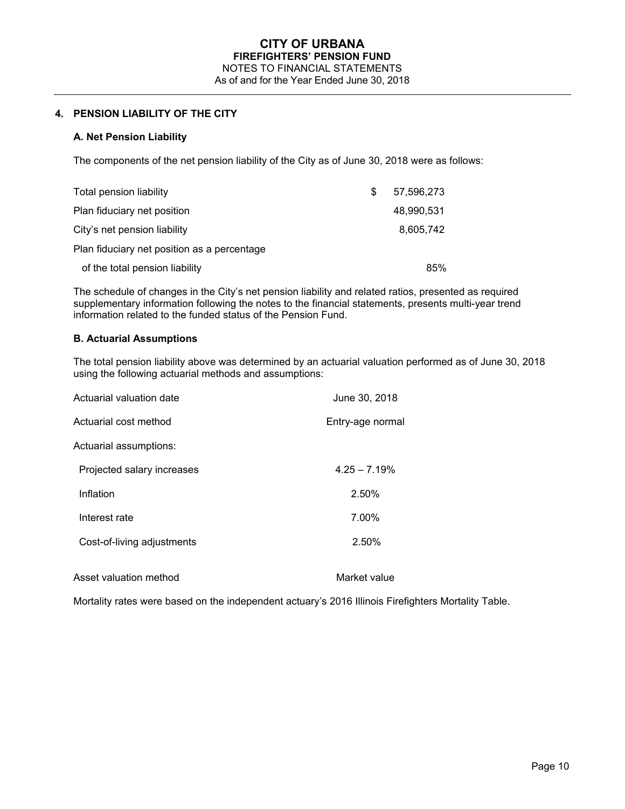## **4. PENSION LIABILITY OF THE CITY**

#### **A. Net Pension Liability**

The components of the net pension liability of the City as of June 30, 2018 were as follows:

| Total pension liability                     | \$. | 57,596,273 |
|---------------------------------------------|-----|------------|
| Plan fiduciary net position                 |     | 48,990,531 |
| City's net pension liability                |     | 8,605,742  |
| Plan fiduciary net position as a percentage |     |            |
| of the total pension liability              |     | 85%        |

The schedule of changes in the City's net pension liability and related ratios, presented as required supplementary information following the notes to the financial statements, presents multi-year trend information related to the funded status of the Pension Fund.

#### **B. Actuarial Assumptions**

The total pension liability above was determined by an actuarial valuation performed as of June 30, 2018 using the following actuarial methods and assumptions:

| Actuarial valuation date   | June 30, 2018    |
|----------------------------|------------------|
| Actuarial cost method      | Entry-age normal |
| Actuarial assumptions:     |                  |
| Projected salary increases | $4.25 - 7.19%$   |
| Inflation                  | 2.50%            |
| Interest rate              | 7.00%            |
| Cost-of-living adjustments | 2.50%            |
|                            |                  |

Asset valuation method Market value

Mortality rates were based on the independent actuary's 2016 Illinois Firefighters Mortality Table.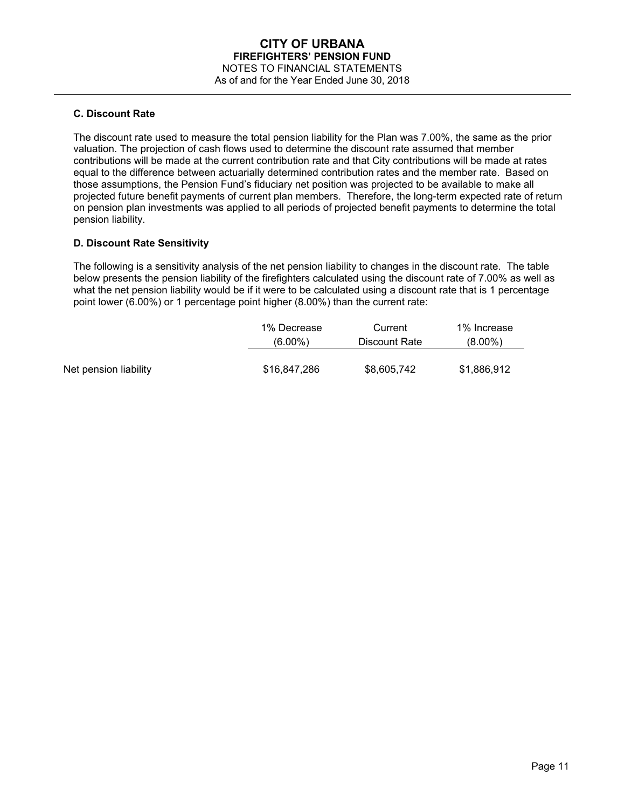#### **C. Discount Rate**

The discount rate used to measure the total pension liability for the Plan was 7.00%, the same as the prior valuation. The projection of cash flows used to determine the discount rate assumed that member contributions will be made at the current contribution rate and that City contributions will be made at rates equal to the difference between actuarially determined contribution rates and the member rate. Based on those assumptions, the Pension Fund's fiduciary net position was projected to be available to make all projected future benefit payments of current plan members. Therefore, the long-term expected rate of return on pension plan investments was applied to all periods of projected benefit payments to determine the total pension liability.

### **D. Discount Rate Sensitivity**

The following is a sensitivity analysis of the net pension liability to changes in the discount rate. The table below presents the pension liability of the firefighters calculated using the discount rate of 7.00% as well as what the net pension liability would be if it were to be calculated using a discount rate that is 1 percentage point lower (6.00%) or 1 percentage point higher (8.00%) than the current rate:

|                       | 1% Decrease  | Current       | 1% Increase |
|-----------------------|--------------|---------------|-------------|
|                       | $(6.00\%)$   | Discount Rate | $(8.00\%)$  |
| Net pension liability | \$16,847,286 | \$8,605,742   | \$1,886,912 |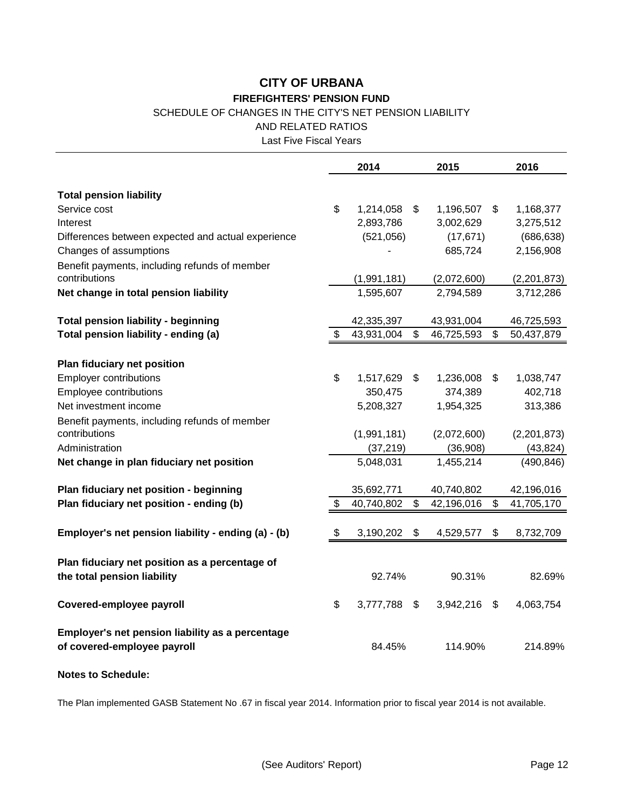#### SCHEDULE OF CHANGES IN THE CITY'S NET PENSION LIABILITY

AND RELATED RATIOS

Last Five Fiscal Years

|                                                     | 2014             | 2015             | 2016             |
|-----------------------------------------------------|------------------|------------------|------------------|
|                                                     |                  |                  |                  |
| <b>Total pension liability</b>                      |                  |                  |                  |
| Service cost                                        | \$<br>1,214,058  | \$<br>1,196,507  | \$<br>1,168,377  |
| Interest                                            | 2,893,786        | 3,002,629        | 3,275,512        |
| Differences between expected and actual experience  | (521,056)        | (17, 671)        | (686, 638)       |
| Changes of assumptions                              |                  | 685,724          | 2,156,908        |
| Benefit payments, including refunds of member       |                  |                  |                  |
| contributions                                       | (1,991,181)      | (2,072,600)      | (2,201,873)      |
| Net change in total pension liability               | 1,595,607        | 2,794,589        | 3,712,286        |
| <b>Total pension liability - beginning</b>          | 42,335,397       | 43,931,004       | 46,725,593       |
| Total pension liability - ending (a)                | \$<br>43,931,004 | \$<br>46,725,593 | \$<br>50,437,879 |
|                                                     |                  |                  |                  |
| Plan fiduciary net position                         |                  |                  |                  |
| <b>Employer contributions</b>                       | \$<br>1,517,629  | \$<br>1,236,008  | \$<br>1,038,747  |
| Employee contributions                              | 350,475          | 374,389          | 402,718          |
| Net investment income                               | 5,208,327        | 1,954,325        | 313,386          |
| Benefit payments, including refunds of member       |                  |                  |                  |
| contributions                                       | (1,991,181)      | (2,072,600)      | (2,201,873)      |
| Administration                                      | (37, 219)        | (36,908)         | (43, 824)        |
| Net change in plan fiduciary net position           | 5,048,031        | 1,455,214        | (490, 846)       |
| Plan fiduciary net position - beginning             | 35,692,771       | 40,740,802       | 42,196,016       |
| Plan fiduciary net position - ending (b)            | \$<br>40,740,802 | \$<br>42,196,016 | \$<br>41,705,170 |
|                                                     |                  |                  |                  |
| Employer's net pension liability - ending (a) - (b) | \$<br>3,190,202  | \$<br>4,529,577  | \$<br>8,732,709  |
|                                                     |                  |                  |                  |
| Plan fiduciary net position as a percentage of      |                  |                  |                  |
| the total pension liability                         | 92.74%           | 90.31%           | 82.69%           |
| Covered-employee payroll                            | \$<br>3,777,788  | \$<br>3,942,216  | \$<br>4,063,754  |
| Employer's net pension liability as a percentage    |                  |                  |                  |
| of covered-employee payroll                         | 84.45%           | 114.90%          | 214.89%          |
|                                                     |                  |                  |                  |

**Notes to Schedule:**

The Plan implemented GASB Statement No .67 in fiscal year 2014. Information prior to fiscal year 2014 is not available.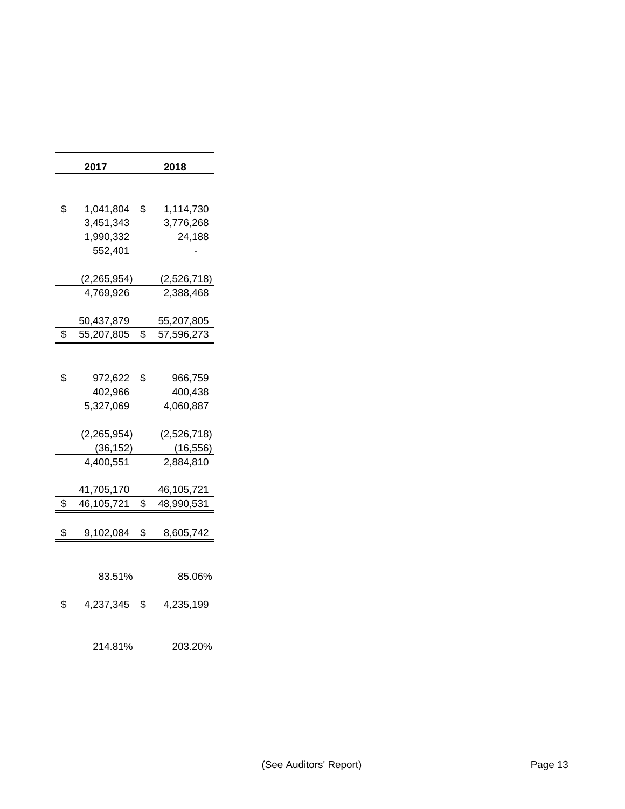| 2017             | 2018 |             |  |  |  |  |
|------------------|------|-------------|--|--|--|--|
|                  |      |             |  |  |  |  |
| \$<br>1,041,804  | \$   | 1,114,730   |  |  |  |  |
| 3,451,343        |      | 3,776,268   |  |  |  |  |
| 1,990,332        |      | 24,188      |  |  |  |  |
| 552,401          |      |             |  |  |  |  |
| (2,265,954)      |      | (2,526,718) |  |  |  |  |
| 4,769,926        |      | 2,388,468   |  |  |  |  |
| 50,437,879       |      | 55,207,805  |  |  |  |  |
| \$<br>55,207,805 | \$   | 57,596,273  |  |  |  |  |
|                  |      |             |  |  |  |  |
| \$<br>972,622    | \$   | 966,759     |  |  |  |  |
| 402,966          |      | 400,438     |  |  |  |  |
| 5,327,069        |      | 4,060,887   |  |  |  |  |
| (2, 265, 954)    |      | (2,526,718) |  |  |  |  |
| (36,152)         |      | (16, 556)   |  |  |  |  |
| 4,400,551        |      | 2,884,810   |  |  |  |  |
| 41,705,170       |      | 46,105,721  |  |  |  |  |
| \$<br>46,105,721 | \$   | 48,990,531  |  |  |  |  |
| \$<br>9,102,084  | \$   | 8,605,742   |  |  |  |  |
|                  |      |             |  |  |  |  |
|                  |      |             |  |  |  |  |
| 83.51%           |      | 85.06%      |  |  |  |  |
| \$<br>4,237,345  | \$   | 4,235,199   |  |  |  |  |
| 214.81%          |      | 203.20%     |  |  |  |  |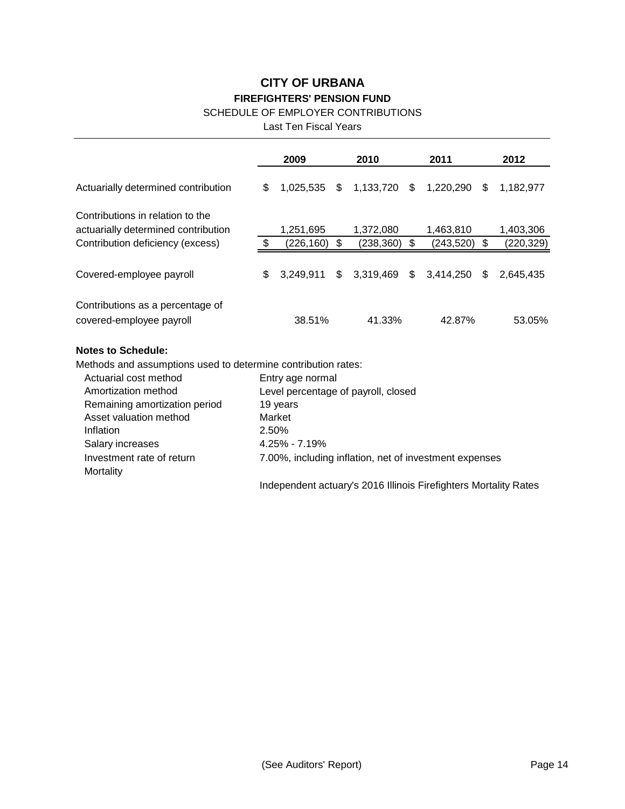### SCHEDULE OF EMPLOYER CONTRIBUTIONS

Last Ten Fiscal Years

|                                                               | 2009          |            |      | 2010         |    | 2011       | 2012 |           |  |
|---------------------------------------------------------------|---------------|------------|------|--------------|----|------------|------|-----------|--|
| Actuarially determined contribution                           | \$            | 1,025,535  | - \$ | 1,133,720    | \$ | 1,220,290  | - \$ | 1,182,977 |  |
| Contributions in relation to the                              |               |            |      |              |    |            |      |           |  |
| actuarially determined contribution                           |               | 1,251,695  |      | 1,372,080    |    | 1,463,810  |      | 1,403,306 |  |
| Contribution deficiency (excess)                              | \$            | (226, 160) | \$   | (238,360)    | \$ | (243, 520) | \$   | (220,329) |  |
|                                                               |               |            |      |              |    |            |      |           |  |
| Covered-employee payroll                                      | \$            | 3,249,911  | \$   | 3,319,469 \$ |    | 3,414,250  | S.   | 2,645,435 |  |
| Contributions as a percentage of                              |               |            |      |              |    |            |      |           |  |
| covered-employee payroll                                      |               | 38.51%     |      | 41.33%       |    | 42.87%     |      | 53.05%    |  |
| <b>Notes to Schedule:</b>                                     |               |            |      |              |    |            |      |           |  |
| Methods and assumptions used to determine contribution rates: |               |            |      |              |    |            |      |           |  |
| Actuarial cost method<br>Entry age normal                     |               |            |      |              |    |            |      |           |  |
| Amortization method<br>Level percentage of payroll, closed    |               |            |      |              |    |            |      |           |  |
| Remaining amortization period<br>19 years                     |               |            |      |              |    |            |      |           |  |
| Asset valuation method                                        |               | Market     |      |              |    |            |      |           |  |
| Inflation                                                     |               | 2.50%      |      |              |    |            |      |           |  |
| Salary increases                                              | 4.25% - 7.19% |            |      |              |    |            |      |           |  |

Investment rate of return

Mortality

Independent actuary's 2016 Illinois Firefighters Mortality Rates

7.00%, including inflation, net of investment expenses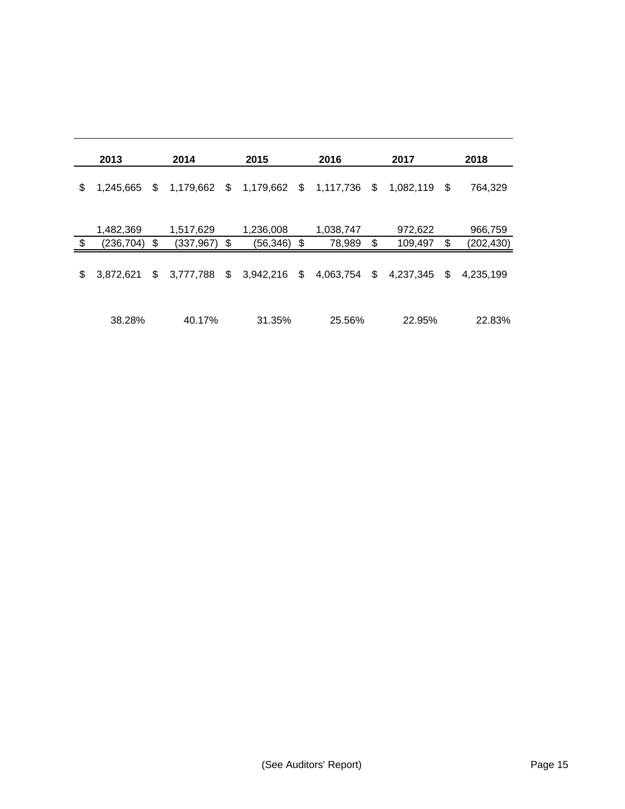| 2013             |    | 2014<br>2015    |    | 2016          |    |                        | 2017 | 2018      |      |            |
|------------------|----|-----------------|----|---------------|----|------------------------|------|-----------|------|------------|
| \$<br>1.245.665  | \$ | 1,179,662 \$    |    |               |    | 1,179,662 \$ 1,117,736 | \$   | 1,082,119 | - \$ | 764,329    |
| 1,482,369        |    | 1,517,629       |    | 1,236,008     |    | 1,038,747              |      | 972,622   |      | 966,759    |
| \$<br>(236, 704) | \$ | $(337, 967)$ \$ |    | $(56,346)$ \$ |    | 78,989                 | \$   | 109,497   | \$   | (202, 430) |
| \$<br>3.872.621  | \$ | 3,777,788       | \$ | 3,942,216     | \$ | 4,063,754              | \$   | 4,237,345 | \$   | 4.235.199  |
| 38.28%           |    | 40.17%          |    | 31.35%        |    | 25.56%                 |      | 22.95%    |      | 22.83%     |